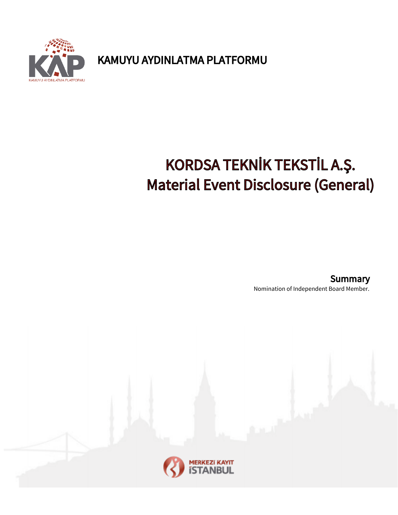

KAMUYU AYDINLATMA PLATFORMU

## KORDSA TEKNİK TEKSTİL A.Ş. Material Event Disclosure (General)

Nomination of Independent Board Member. **Summary**